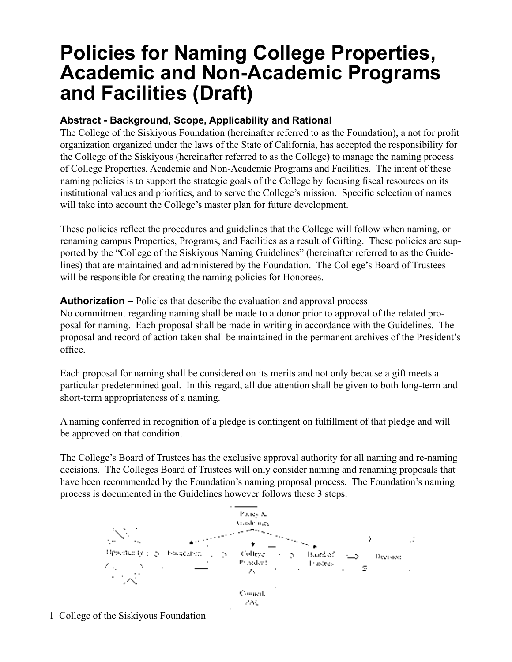# **Policies for Naming College Properties, Academic and Non-Academic Programs and Facilities (Draft)**

### **Abstract - Background, Scope, Applicability and Rational**

The College of the Siskiyous Foundation (hereinafter referred to as the Foundation), a not for profit organization organized under the laws of the State of California, has accepted the responsibility for the College of the Siskiyous (hereinafter referred to as the College) to manage the naming process of College Properties, Academic and Non-Academic Programs and Facilities. The intent of these naming policies is to support the strategic goals of the College by focusing fiscal resources on its institutional values and priorities, and to serve the College's mission. Specific selection of names will take into account the College's master plan for future development.

These policies reflect the procedures and guidelines that the College will follow when naming, or renaming campus Properties, Programs, and Facilities as a result of Gifting. These policies are supported by the "College of the Siskiyous Naming Guidelines" (hereinafter referred to as the Guidelines) that are maintained and administered by the Foundation. The College's Board of Trustees will be responsible for creating the naming policies for Honorees.

**Authorization –** Policies that describe the evaluation and approval process

No commitment regarding naming shall be made to a donor prior to approval of the related proposal for naming. Each proposal shall be made in writing in accordance with the Guidelines. The proposal and record of action taken shall be maintained in the permanent archives of the President's office.

Each proposal for naming shall be considered on its merits and not only because a gift meets a particular predetermined goal. In this regard, all due attention shall be given to both long-term and short-term appropriateness of a naming.

A naming conferred in recognition of a pledge is contingent on fulfillment of that pledge and will be approved on that condition.

The College's Board of Trustees has the exclusive approval authority for all naming and re-naming decisions. The Colleges Board of Trustees will only consider naming and renaming proposals that have been recommended by the Foundation's naming proposal process. The Foundation's naming process is documented in the Guidelines however follows these 3 steps.



1 College of the Siskiyous Foundation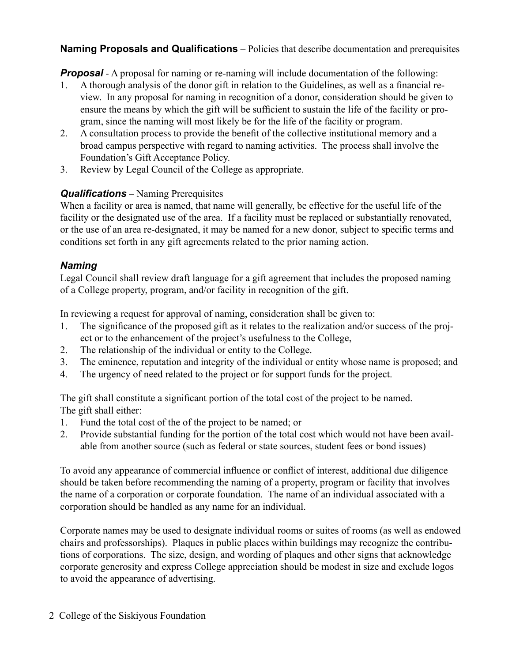**Naming Proposals and Qualifications** – Policies that describe documentation and prerequisites

*Proposal* - A proposal for naming or re-naming will include documentation of the following:

- 1. A thorough analysis of the donor gift in relation to the Guidelines, as well as a financial review. In any proposal for naming in recognition of a donor, consideration should be given to ensure the means by which the gift will be sufficient to sustain the life of the facility or program, since the naming will most likely be for the life of the facility or program.
- 2. A consultation process to provide the benefit of the collective institutional memory and a broad campus perspective with regard to naming activities. The process shall involve the Foundation's Gift Acceptance Policy.
- 3. Review by Legal Council of the College as appropriate.

## *Qualifications* – Naming Prerequisites

When a facility or area is named, that name will generally, be effective for the useful life of the facility or the designated use of the area. If a facility must be replaced or substantially renovated, or the use of an area re-designated, it may be named for a new donor, subject to specific terms and conditions set forth in any gift agreements related to the prior naming action.

#### *Naming*

Legal Council shall review draft language for a gift agreement that includes the proposed naming of a College property, program, and/or facility in recognition of the gift.

In reviewing a request for approval of naming, consideration shall be given to:

- 1. The significance of the proposed gift as it relates to the realization and/or success of the project or to the enhancement of the project's usefulness to the College,
- 2. The relationship of the individual or entity to the College.
- 3. The eminence, reputation and integrity of the individual or entity whose name is proposed; and
- 4. The urgency of need related to the project or for support funds for the project.

The gift shall constitute a significant portion of the total cost of the project to be named. The gift shall either:

- 1. Fund the total cost of the of the project to be named; or
- 2. Provide substantial funding for the portion of the total cost which would not have been available from another source (such as federal or state sources, student fees or bond issues)

To avoid any appearance of commercial influence or conflict of interest, additional due diligence should be taken before recommending the naming of a property, program or facility that involves the name of a corporation or corporate foundation. The name of an individual associated with a corporation should be handled as any name for an individual.

Corporate names may be used to designate individual rooms or suites of rooms (as well as endowed chairs and professorships). Plaques in public places within buildings may recognize the contributions of corporations. The size, design, and wording of plaques and other signs that acknowledge corporate generosity and express College appreciation should be modest in size and exclude logos to avoid the appearance of advertising.